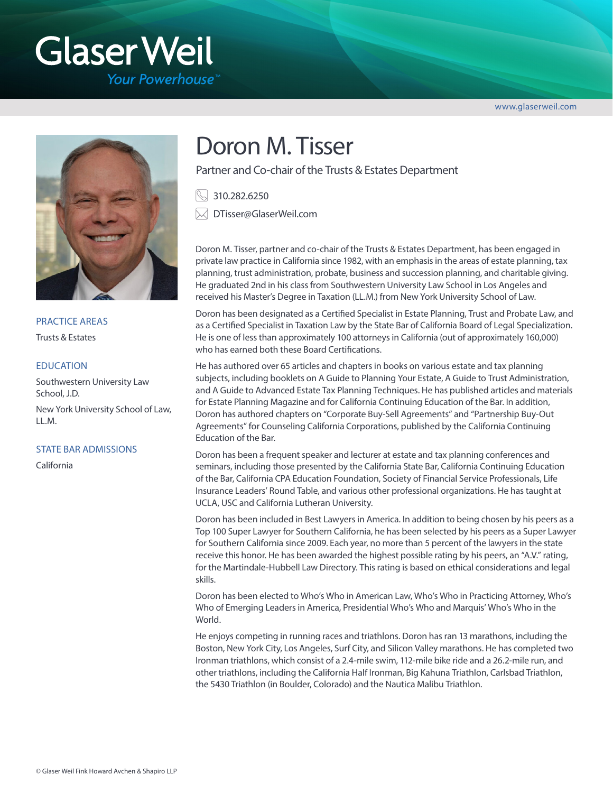# **Glaser Weil**

**Your Powerhouse** 

www.glaserweil.com



PRACTICE AREAS

Trusts & Estates

### **EDUCATION**

Southwestern University Law School, J.D.

New York University School of Law,  $ILM.$ 

#### STATE BAR ADMISSIONS

California

# Doron M. Tisser

Partner and Co-chair of the Trusts & Estates Department

310.282.6250

DTisser@GlaserWeil.com

Doron M. Tisser, partner and co-chair of the Trusts & Estates Department, has been engaged in private law practice in California since 1982, with an emphasis in the areas of estate planning, tax planning, trust administration, probate, business and succession planning, and charitable giving. He graduated 2nd in his class from Southwestern University Law School in Los Angeles and received his Master's Degree in Taxation (LL.M.) from New York University School of Law.

Doron has been designated as a Certified Specialist in Estate Planning, Trust and Probate Law, and as a Certified Specialist in Taxation Law by the State Bar of California Board of Legal Specialization. He is one of less than approximately 100 attorneys in California (out of approximately 160,000) who has earned both these Board Certifications.

He has authored over 65 articles and chapters in books on various estate and tax planning subjects, including booklets on A Guide to Planning Your Estate, A Guide to Trust Administration, and A Guide to Advanced Estate Tax Planning Techniques. He has published articles and materials for Estate Planning Magazine and for California Continuing Education of the Bar. In addition, Doron has authored chapters on "Corporate Buy-Sell Agreements" and "Partnership Buy-Out Agreements" for Counseling California Corporations, published by the California Continuing Education of the Bar.

Doron has been a frequent speaker and lecturer at estate and tax planning conferences and seminars, including those presented by the California State Bar, California Continuing Education of the Bar, California CPA Education Foundation, Society of Financial Service Professionals, Life Insurance Leaders' Round Table, and various other professional organizations. He has taught at UCLA, USC and California Lutheran University.

Doron has been included in Best Lawyers in America. In addition to being chosen by his peers as a Top 100 Super Lawyer for Southern California, he has been selected by his peers as a Super Lawyer for Southern California since 2009. Each year, no more than 5 percent of the lawyers in the state receive this honor. He has been awarded the highest possible rating by his peers, an "A.V." rating, for the Martindale-Hubbell Law Directory. This rating is based on ethical considerations and legal skills.

Doron has been elected to Who's Who in American Law, Who's Who in Practicing Attorney, Who's Who of Emerging Leaders in America, Presidential Who's Who and Marquis' Who's Who in the World.

He enjoys competing in running races and triathlons. Doron has ran 13 marathons, including the Boston, New York City, Los Angeles, Surf City, and Silicon Valley marathons. He has completed two Ironman triathlons, which consist of a 2.4-mile swim, 112-mile bike ride and a 26.2-mile run, and other triathlons, including the California Half Ironman, Big Kahuna Triathlon, Carlsbad Triathlon, the 5430 Triathlon (in Boulder, Colorado) and the Nautica Malibu Triathlon.